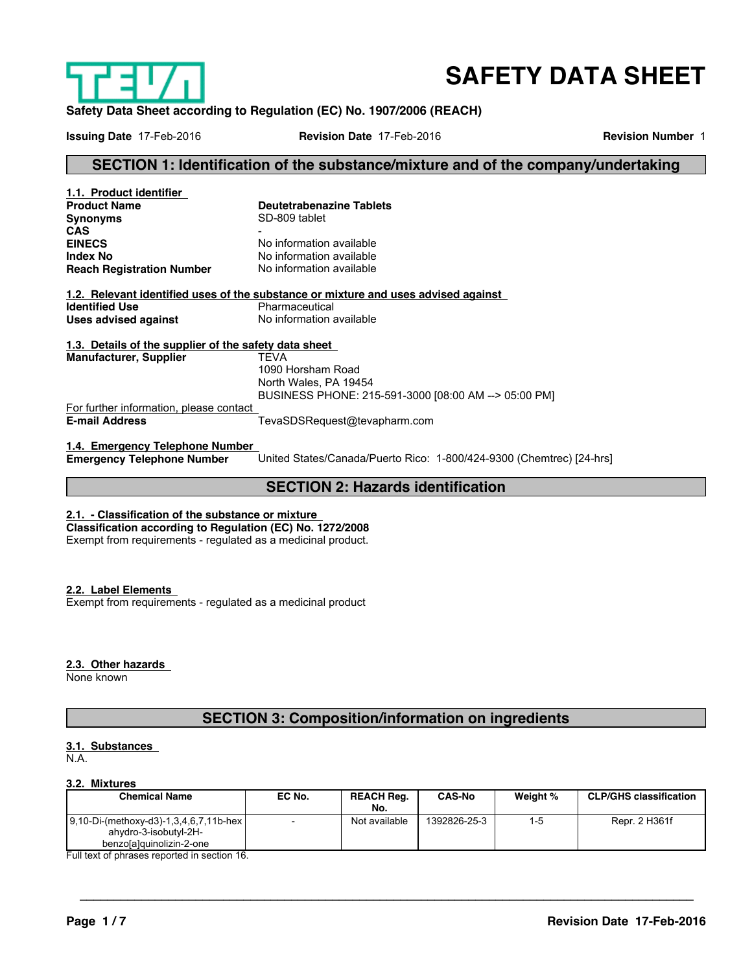

# **SAFETY DATA SHEET**

### **Safety Data Sheet according to Regulation (EC) No. 1907/2006 (REACH)**

**Issuing Date** 17-Feb-2016 **Revision Date** 17-Feb-2016 **Revision Number** 1

## **SECTION 1: Identification of the substance/mixture and of the company/undertaking**

| 1.1. Product identifier          |                                 |
|----------------------------------|---------------------------------|
| <b>Product Name</b>              | <b>Deutetrabenazine Tablets</b> |
| <b>Synonyms</b>                  | SD-809 tablet                   |
| <b>CAS</b>                       |                                 |
| <b>EINECS</b>                    | No information available        |
| <b>Index No</b>                  | No information available        |
| <b>Reach Registration Number</b> | No information available        |

**1.2. Relevant identified uses of the substance or mixture and uses advised against Identified Use**<br> **Identified Uses**<br> **Identify IDENTIFY No** information available **Uses advised against** 

# **1.3. Details of the supplier of the safety data sheet**

**Manufacturer, Supplier** 

1090 Horsham Road North Wales, PA 19454 BUSINESS PHONE: 215-591-3000 [08:00 AM --> 05:00 PM]

For further information, please contact **E-mail Address** TevaSDSRequest@tevapharm.com

**1.4. Emergency Telephone Number** 

**Emergency Telephone Number** United States/Canada/Puerto Rico: 1-800/424-9300 (Chemtrec) [24-hrs]

### **SECTION 2: Hazards identification**

#### **2.1. - Classification of the substance or mixture Classification according to Regulation (EC) No. 1272/2008** Exempt from requirements - regulated as a medicinal product.

### **2.2. Label Elements**

Exempt from requirements - regulated as a medicinal product

### **2.3. Other hazards**

None known

# **SECTION 3: Composition/information on ingredients**

#### **3.1. Substances**  N.A.

### **3.2. Mixtures**

| <b>Chemical Name</b>                                                                                          | EC No. | <b>REACH Rea.</b><br>No. | <b>CAS-No</b> | Weight % | <b>CLP/GHS classification</b> |
|---------------------------------------------------------------------------------------------------------------|--------|--------------------------|---------------|----------|-------------------------------|
| $ 9,10-Di-(\text{methoxy-d3})-1,3,4,6,7,11b-\text{hex} $<br>ahydro-3-isobutyl-2H-<br>benzolalguinolizin-2-one | -      | Not available            | 1392826-25-3  | 1-5      | Repr. 2 H361f                 |

 $\_$  , and the set of the set of the set of the set of the set of the set of the set of the set of the set of the set of the set of the set of the set of the set of the set of the set of the set of the set of the set of th

Full text of phrases reported in section 16.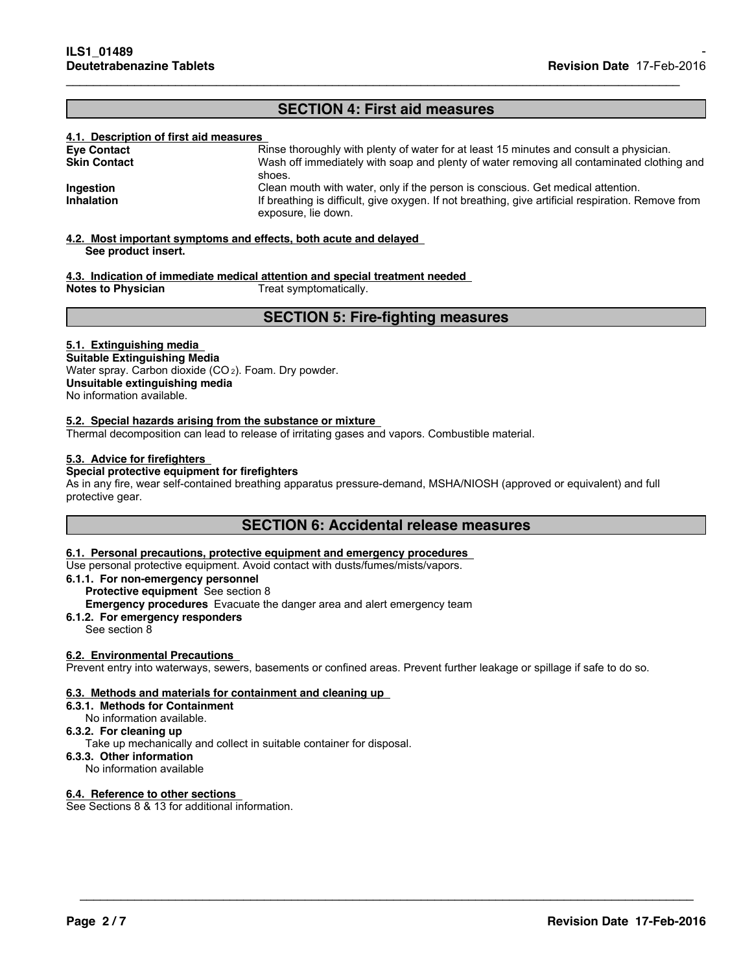# **SECTION 4: First aid measures**

 $\_$  ,  $\_$  ,  $\_$  ,  $\_$  ,  $\_$  ,  $\_$  ,  $\_$  ,  $\_$  ,  $\_$  ,  $\_$  ,  $\_$  ,  $\_$  ,  $\_$  ,  $\_$  ,  $\_$  ,  $\_$  ,  $\_$  ,  $\_$  ,  $\_$  ,  $\_$  ,  $\_$  ,  $\_$  ,  $\_$  ,  $\_$  ,  $\_$  ,  $\_$  ,  $\_$  ,  $\_$  ,  $\_$  ,  $\_$  ,  $\_$  ,  $\_$  ,  $\_$  ,  $\_$  ,  $\_$  ,  $\_$  ,  $\_$  ,

#### **4.1. Description of first aid measures**

| <b>Eve Contact</b>  | Rinse thoroughly with plenty of water for at least 15 minutes and consult a physician.                                    |
|---------------------|---------------------------------------------------------------------------------------------------------------------------|
| <b>Skin Contact</b> | Wash off immediately with soap and plenty of water removing all contaminated clothing and                                 |
|                     | shoes.                                                                                                                    |
| Ingestion           | Clean mouth with water, only if the person is conscious. Get medical attention.                                           |
| <b>Inhalation</b>   | If breathing is difficult, give oxygen. If not breathing, give artificial respiration. Remove from<br>exposure, lie down. |

### **4.2. Most important symptoms and effects, both acute and delayed**

**See product insert.**

# **4.3. Indication of immediate medical attention and special treatment needed**

**Treat symptomatically.** 

### **SECTION 5: Fire-fighting measures**

### **5.1. Extinguishing media**

**Suitable Extinguishing Media** Water spray. Carbon dioxide (CO 2). Foam. Dry powder. **Unsuitable extinguishing media** No information available.

### **5.2. Special hazards arising from the substance or mixture**

Thermal decomposition can lead to release of irritating gases and vapors. Combustible material.

### **5.3. Advice for firefighters**

### **Special protective equipment for firefighters**

As in any fire, wear self-contained breathing apparatus pressure-demand, MSHA/NIOSH (approved or equivalent) and full protective gear.

### **SECTION 6: Accidental release measures**

#### **6.1. Personal precautions, protective equipment and emergency procedures**

Use personal protective equipment. Avoid contact with dusts/fumes/mists/vapors.

- **6.1.1. For non-emergency personnel Protective equipment** See section 8 **Emergency procedures** Evacuate the danger area and alert emergency team
- **6.1.2. For emergency responders**

See section 8

### **6.2. Environmental Precautions**

Prevent entry into waterways, sewers, basements or confined areas. Prevent further leakage or spillage if safe to do so.

 $\_$  , and the set of the set of the set of the set of the set of the set of the set of the set of the set of the set of the set of the set of the set of the set of the set of the set of the set of the set of the set of th

### **6.3. Methods and materials for containment and cleaning up**

**6.3.1. Methods for Containment**

# No information available.

# **6.3.2. For cleaning up**

Take up mechanically and collect in suitable container for disposal.

**6.3.3. Other information**

No information available

#### **6.4. Reference to other sections**

See Sections 8 & 13 for additional information.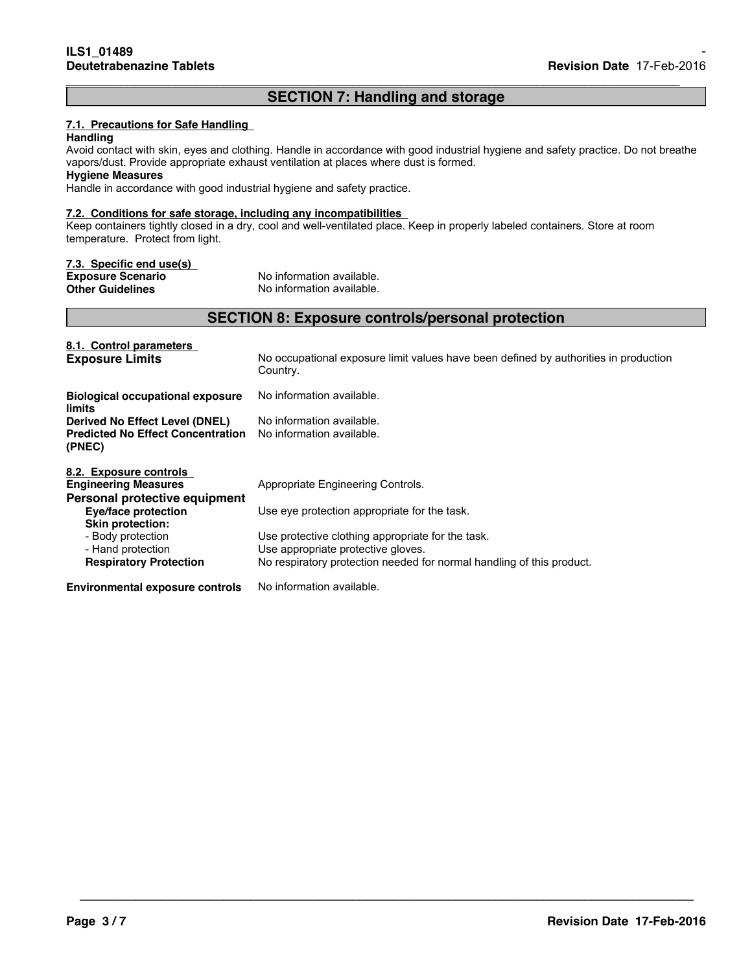# **SECTION 7: Handling and storage**

 $\_$  ,  $\_$  ,  $\_$  ,  $\_$  ,  $\_$  ,  $\_$  ,  $\_$  ,  $\_$  ,  $\_$  ,  $\_$  ,  $\_$  ,  $\_$  ,  $\_$  ,  $\_$  ,  $\_$  ,  $\_$  ,  $\_$  ,  $\_$  ,  $\_$  ,  $\_$  ,  $\_$  ,  $\_$  ,  $\_$  ,  $\_$  ,  $\_$  ,  $\_$  ,  $\_$  ,  $\_$  ,  $\_$  ,  $\_$  ,  $\_$  ,  $\_$  ,  $\_$  ,  $\_$  ,  $\_$  ,  $\_$  ,  $\_$  ,

### **7.1. Precautions for Safe Handling**

### **Handling**

Avoid contact with skin, eyes and clothing. Handle in accordance with good industrial hygiene and safety practice. Do not breathe vapors/dust. Provide appropriate exhaust ventilation at places where dust is formed.

### **Hygiene Measures**

Handle in accordance with good industrial hygiene and safety practice.

#### **7.2. Conditions for safe storage, including any incompatibilities**

Keep containers tightly closed in a dry, cool and well-ventilated place. Keep in properly labeled containers. Store at room temperature. Protect from light.

| 7.3. Specific end use(s) |  |  |
|--------------------------|--|--|
|                          |  |  |

| No information available. |
|---------------------------|
| No information available. |
|                           |

## **SECTION 8: Exposure controls/personal protection**

| 8.1. Control parameters<br><b>Exposure Limits</b>     | No occupational exposure limit values have been defined by authorities in production<br>Country. |
|-------------------------------------------------------|--------------------------------------------------------------------------------------------------|
| <b>Biological occupational exposure</b><br>limits     | No information available.                                                                        |
| Derived No Effect Level (DNEL)                        | No information available.                                                                        |
| <b>Predicted No Effect Concentration</b><br>(PNEC)    | No information available.                                                                        |
| 8.2. Exposure controls<br><b>Engineering Measures</b> | Appropriate Engineering Controls.                                                                |
| Personal protective equipment                         |                                                                                                  |
| Eye/face protection<br><b>Skin protection:</b>        | Use eye protection appropriate for the task.                                                     |
| - Body protection                                     | Use protective clothing appropriate for the task.                                                |
| - Hand protection                                     | Use appropriate protective gloves.                                                               |
| <b>Respiratory Protection</b>                         | No respiratory protection needed for normal handling of this product.                            |
| <b>Environmental exposure controls</b>                | No information available.                                                                        |

 $\_$  , and the set of the set of the set of the set of the set of the set of the set of the set of the set of the set of the set of the set of the set of the set of the set of the set of the set of the set of the set of th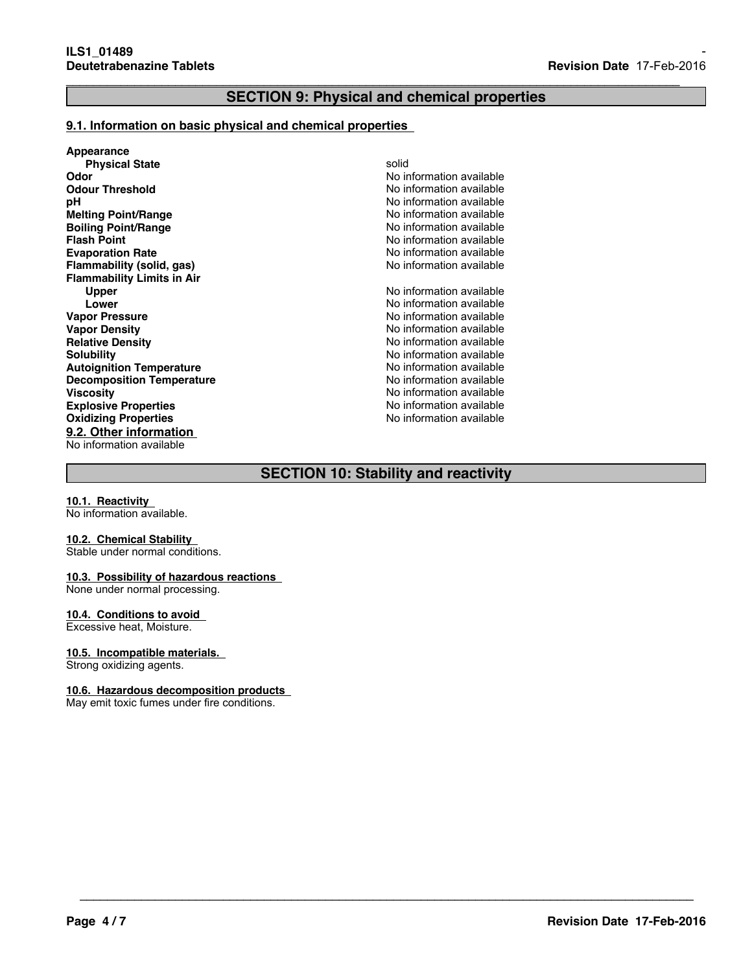# **SECTION 9: Physical and chemical properties**

 $\_$  ,  $\_$  ,  $\_$  ,  $\_$  ,  $\_$  ,  $\_$  ,  $\_$  ,  $\_$  ,  $\_$  ,  $\_$  ,  $\_$  ,  $\_$  ,  $\_$  ,  $\_$  ,  $\_$  ,  $\_$  ,  $\_$  ,  $\_$  ,  $\_$  ,  $\_$  ,  $\_$  ,  $\_$  ,  $\_$  ,  $\_$  ,  $\_$  ,  $\_$  ,  $\_$  ,  $\_$  ,  $\_$  ,  $\_$  ,  $\_$  ,  $\_$  ,  $\_$  ,  $\_$  ,  $\_$  ,  $\_$  ,  $\_$  ,

### **9.1. Information on basic physical and chemical properties**

**Appearance Physical State** solid and **Physical State** solid and **Physical State** solid solid **Odor Odor No information available**<br> **Odour Threshold No information available**<br>
No information available **Odour Threshold**<br> **Odour Threshold**<br> **pH** No information available **Melting Point/Range<br>Boiling Point/Range Boiling Point/Range No information available**<br> **Flash Point No information available**<br>
No information available **Evaporation Rate Example 2018** No information available<br> **Flammability (solid, gas)** No information available **Flammability (solid, gas) Flammability Limits in Air Upper** No information available **Lower**<br> **Lower**<br> **Vapor Pressure**<br> **Vapor Pressure**<br> **Vapor Pressure**<br> **Vapor Pressure Vapor Pressure** Noinformation available<br> **Vapor Density**<br>
No information available<br>
Noinformation available **Relative Density No information available No information available Solubility**<br> **Autoignition Temperature**<br> **Autoignition Temperature**<br> **Autoignition Temperature Autoignition Temperature**<br> **Decomposition Temperature Example 20**<br>
No information available **Decomposition Temperature<br>Viscosity Explosive Properties**<br> **Oxidizing Properties**<br> **Oxidizing Properties**<br> **No information available Oxidizing Properties 9.2. Other information**  No information available

No information available<br>No information available **No information available** 

**No information available No information available**<br>No information available

# **SECTION 10: Stability and reactivity**

 $\_$  , and the set of the set of the set of the set of the set of the set of the set of the set of the set of the set of the set of the set of the set of the set of the set of the set of the set of the set of the set of th

#### **10.1. Reactivity**

No information available.

### **10.2. Chemical Stability**

Stable under normal conditions.

### **10.3. Possibility of hazardous reactions**

None under normal processing.

### **10.4. Conditions to avoid**

Excessive heat, Moisture.

### **10.5. Incompatible materials.**

Strong oxidizing agents.

### **10.6. Hazardous decomposition products**

May emit toxic fumes under fire conditions.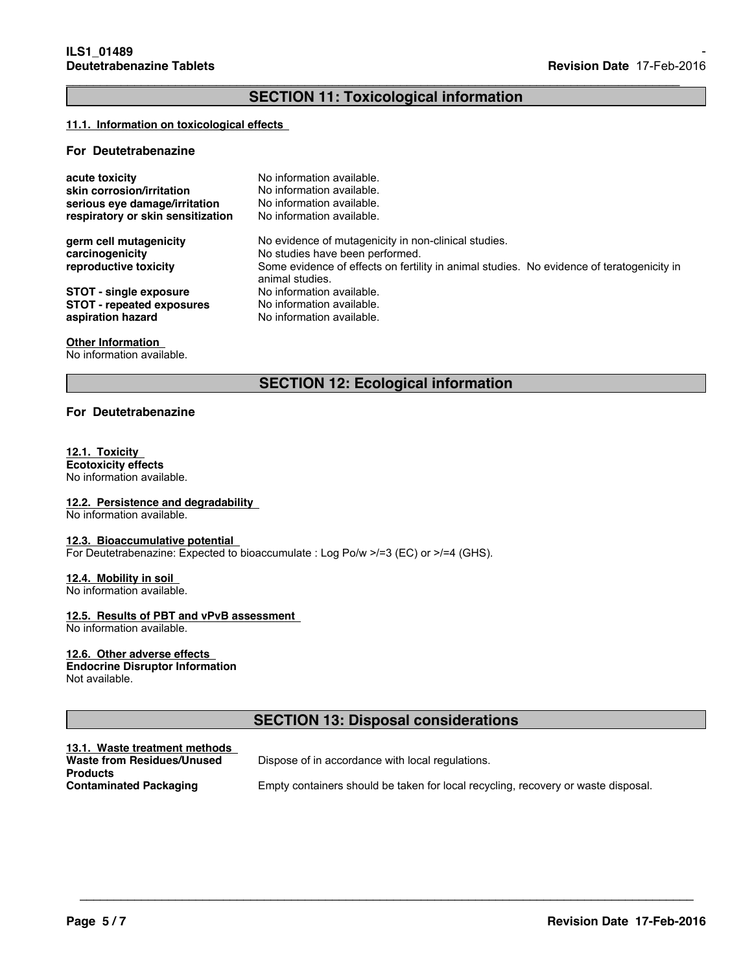# **SECTION 11: Toxicological information**

 $\_$  ,  $\_$  ,  $\_$  ,  $\_$  ,  $\_$  ,  $\_$  ,  $\_$  ,  $\_$  ,  $\_$  ,  $\_$  ,  $\_$  ,  $\_$  ,  $\_$  ,  $\_$  ,  $\_$  ,  $\_$  ,  $\_$  ,  $\_$  ,  $\_$  ,  $\_$  ,  $\_$  ,  $\_$  ,  $\_$  ,  $\_$  ,  $\_$  ,  $\_$  ,  $\_$  ,  $\_$  ,  $\_$  ,  $\_$  ,  $\_$  ,  $\_$  ,  $\_$  ,  $\_$  ,  $\_$  ,  $\_$  ,  $\_$  ,

### **11.1. Information on toxicological effects**

### **For Deutetrabenazine**

| acute toxicity                    | No information available.                                                                                    |
|-----------------------------------|--------------------------------------------------------------------------------------------------------------|
| skin corrosion/irritation         | No information available.                                                                                    |
| serious eye damage/irritation     | No information available.                                                                                    |
| respiratory or skin sensitization | No information available.                                                                                    |
| germ cell mutagenicity            | No evidence of mutagenicity in non-clinical studies.                                                         |
| carcinogenicity                   | No studies have been performed.                                                                              |
| reproductive toxicity             | Some evidence of effects on fertility in animal studies. No evidence of teratogenicity in<br>animal studies. |
| STOT - single exposure            | No information available.                                                                                    |
| <b>STOT</b> - repeated exposures  | No information available.                                                                                    |
| aspiration hazard                 | No information available.                                                                                    |
|                                   |                                                                                                              |

### **Other Information**

No information available.

## **SECTION 12: Ecological information**

### **For Deutetrabenazine**

### **12.1. Toxicity**

**Ecotoxicity effects** No information available.

#### **12.2. Persistence and degradability**

No information available.

#### **12.3. Bioaccumulative potential**

For Deutetrabenazine: Expected to bioaccumulate : Log Po/w >/=3 (EC) or >/=4 (GHS).

#### **12.4. Mobility in soil**

No information available.

#### **12.5. Results of PBT and vPvB assessment**

No information available.

### **12.6. Other adverse effects**

**Endocrine Disruptor Information** Not available.

# **SECTION 13: Disposal considerations**

# **13.1. Waste treatment methods Waste from Residues/Unused Products**

Dispose of in accordance with local regulations.

 $\_$  , and the set of the set of the set of the set of the set of the set of the set of the set of the set of the set of the set of the set of the set of the set of the set of the set of the set of the set of the set of th

Empty containers should be taken for local recycling, recovery or waste disposal.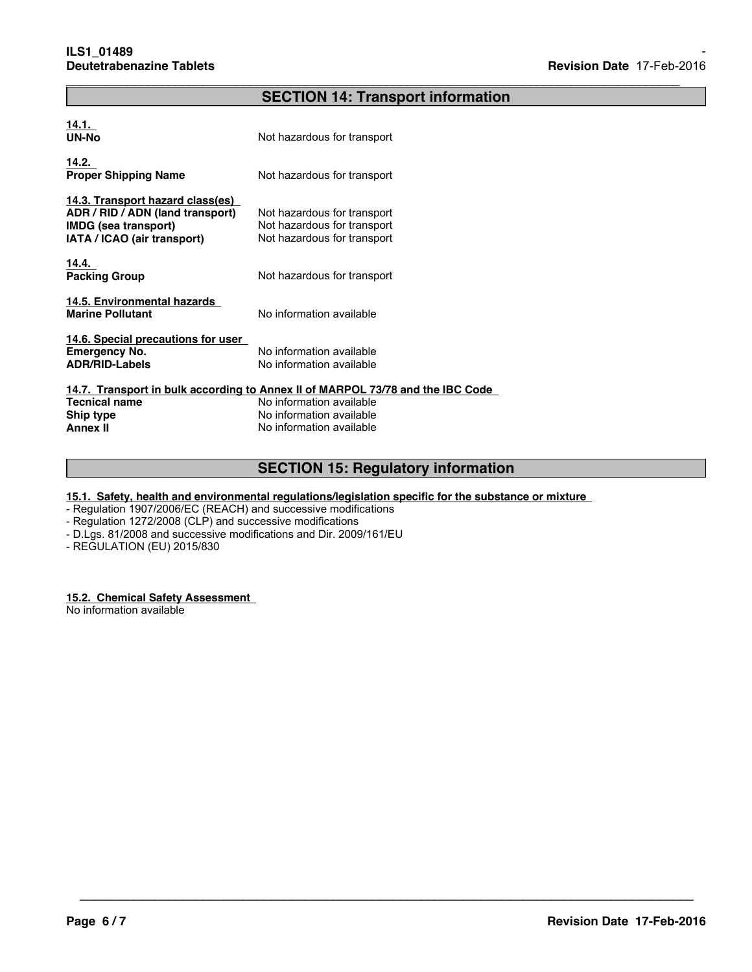# **SECTION 14: Transport information**

 $\_$  ,  $\_$  ,  $\_$  ,  $\_$  ,  $\_$  ,  $\_$  ,  $\_$  ,  $\_$  ,  $\_$  ,  $\_$  ,  $\_$  ,  $\_$  ,  $\_$  ,  $\_$  ,  $\_$  ,  $\_$  ,  $\_$  ,  $\_$  ,  $\_$  ,  $\_$  ,  $\_$  ,  $\_$  ,  $\_$  ,  $\_$  ,  $\_$  ,  $\_$  ,  $\_$  ,  $\_$  ,  $\_$  ,  $\_$  ,  $\_$  ,  $\_$  ,  $\_$  ,  $\_$  ,  $\_$  ,  $\_$  ,  $\_$  ,

| 14.1.                                                                                                                              |                                                                                           |  |
|------------------------------------------------------------------------------------------------------------------------------------|-------------------------------------------------------------------------------------------|--|
| UN-No                                                                                                                              | Not hazardous for transport                                                               |  |
| 14.2.<br><b>Proper Shipping Name</b>                                                                                               | Not hazardous for transport                                                               |  |
| 14.3. Transport hazard class(es)<br>ADR / RID / ADN (land transport)<br><b>IMDG</b> (sea transport)<br>IATA / ICAO (air transport) | Not hazardous for transport<br>Not hazardous for transport<br>Not hazardous for transport |  |
| 14.4.<br><b>Packing Group</b>                                                                                                      | Not hazardous for transport                                                               |  |
| 14.5. Environmental hazards<br><b>Marine Pollutant</b>                                                                             | No information available                                                                  |  |
| 14.6. Special precautions for user<br><b>Emergency No.</b><br><b>ADR/RID-Labels</b>                                                | No information available<br>No information available                                      |  |
| 14.7. Transport in bulk according to Annex II of MARPOL 73/78 and the IBC Code                                                     |                                                                                           |  |
| <b>Tecnical name</b>                                                                                                               | No information available                                                                  |  |
| Ship type                                                                                                                          | No information available                                                                  |  |
| Annex II                                                                                                                           | No information available                                                                  |  |

# **SECTION 15: Regulatory information**

 $\_$  , and the set of the set of the set of the set of the set of the set of the set of the set of the set of the set of the set of the set of the set of the set of the set of the set of the set of the set of the set of th

#### **15.1. Safety, health and environmental regulations/legislation specific for the substance or mixture**

#### - Regulation 1907/2006/EC (REACH) and successive modifications

- Regulation 1272/2008 (CLP) and successive modifications
- D.Lgs. 81/2008 and successive modifications and Dir. 2009/161/EU

- REGULATION (EU) 2015/830

### **15.2. Chemical Safety Assessment**

No information available